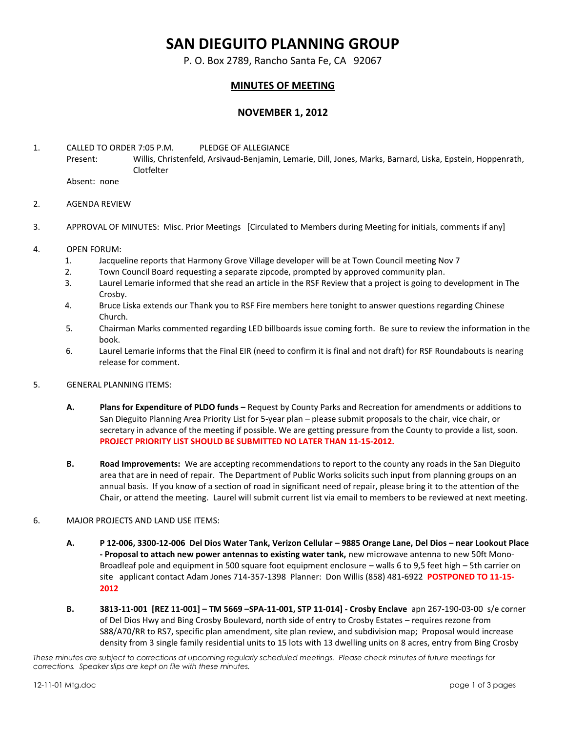# **SAN DIEGUITO PLANNING GROUP**

P. O. Box 2789, Rancho Santa Fe, CA 92067

## **MINUTES OF MEETING**

## **NOVEMBER 1, 2012**

1. CALLED TO ORDER 7:05 P.M. PLEDGE OF ALLEGIANCE Present: Willis, Christenfeld, Arsivaud-Benjamin, Lemarie, Dill, Jones, Marks, Barnard, Liska, Epstein, Hoppenrath, Clotfelter

Absent: none

- 2. AGENDA REVIEW
- 3. APPROVAL OF MINUTES: Misc. Prior Meetings [Circulated to Members during Meeting for initials, comments if any]
- 4. OPEN FORUM:
	- 1. Jacqueline reports that Harmony Grove Village developer will be at Town Council meeting Nov 7
	- 2. Town Council Board requesting a separate zipcode, prompted by approved community plan.
	- 3. Laurel Lemarie informed that she read an article in the RSF Review that a project is going to development in The Crosby.
	- 4. Bruce Liska extends our Thank you to RSF Fire members here tonight to answer questions regarding Chinese Church.
	- 5. Chairman Marks commented regarding LED billboards issue coming forth. Be sure to review the information in the book.
	- 6. Laurel Lemarie informs that the Final EIR (need to confirm it is final and not draft) for RSF Roundabouts is nearing release for comment.

### 5. GENERAL PLANNING ITEMS:

- **A. Plans for Expenditure of PLDO funds –** Request by County Parks and Recreation for amendments or additions to San Dieguito Planning Area Priority List for 5-year plan – please submit proposals to the chair, vice chair, or secretary in advance of the meeting if possible. We are getting pressure from the County to provide a list, soon. **PROJECT PRIORITY LIST SHOULD BE SUBMITTED NO LATER THAN 11-15-2012.**
- **B. Road Improvements:** We are accepting recommendations to report to the county any roads in the San Dieguito area that are in need of repair. The Department of Public Works solicits such input from planning groups on an annual basis. If you know of a section of road in significant need of repair, please bring it to the attention of the Chair, or attend the meeting. Laurel will submit current list via email to members to be reviewed at next meeting.

### 6. MAJOR PROJECTS AND LAND USE ITEMS:

- **A. P 12-006, 3300-12-006 Del Dios Water Tank, Verizon Cellular – 9885 Orange Lane, Del Dios – near Lookout Place - Proposal to attach new power antennas to existing water tank,** new microwave antenna to new 50ft Mono-Broadleaf pole and equipment in 500 square foot equipment enclosure – walls 6 to 9,5 feet high – 5th carrier on site applicant contact Adam Jones 714-357-1398 Planner: Don Willis (858) 481-6922 **POSTPONED TO 11-15- 2012**
- **B. 3813-11-001 [REZ 11-001] – TM 5669 –SPA-11-001, STP 11-014] - Crosby Enclave** apn 267-190-03-00 s/e corner of Del Dios Hwy and Bing Crosby Boulevard, north side of entry to Crosby Estates – requires rezone from S88/A70/RR to RS7, specific plan amendment, site plan review, and subdivision map; Proposal would increase density from 3 single family residential units to 15 lots with 13 dwelling units on 8 acres, entry from Bing Crosby

*These minutes are subject to corrections at upcoming regularly scheduled meetings. Please check minutes of future meetings for corrections. Speaker slips are kept on file with these minutes.*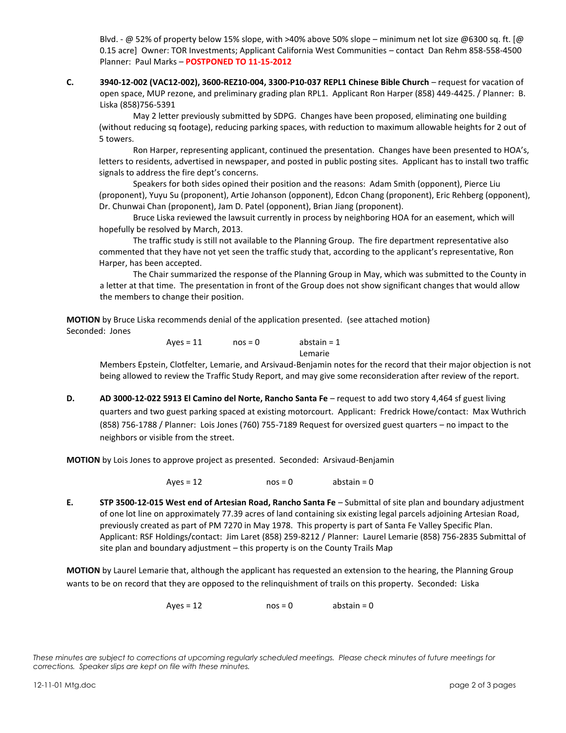Blvd. - @ 52% of property below 15% slope, with >40% above 50% slope – minimum net lot size @6300 sq. ft. [@ 0.15 acre] Owner: TOR Investments; Applicant California West Communities – contact Dan Rehm 858-558-4500 Planner: Paul Marks – **POSTPONED TO 11-15-2012**

**C. 3940-12-002 (VAC12-002), 3600-REZ10-004, 3300-P10-037 REPL1 Chinese Bible Church** – request for vacation of open space, MUP rezone, and preliminary grading plan RPL1. Applicant Ron Harper (858) 449-4425. / Planner: B. Liska (858)756-5391

May 2 letter previously submitted by SDPG. Changes have been proposed, eliminating one building (without reducing sq footage), reducing parking spaces, with reduction to maximum allowable heights for 2 out of 5 towers.

Ron Harper, representing applicant, continued the presentation. Changes have been presented to HOA's, letters to residents, advertised in newspaper, and posted in public posting sites. Applicant has to install two traffic signals to address the fire dept's concerns.

Speakers for both sides opined their position and the reasons: Adam Smith (opponent), Pierce Liu (proponent), Yuyu Su (proponent), Artie Johanson (opponent), Edcon Chang (proponent), Eric Rehberg (opponent), Dr. Chunwai Chan (proponent), Jam D. Patel (opponent), Brian Jiang (proponent).

Bruce Liska reviewed the lawsuit currently in process by neighboring HOA for an easement, which will hopefully be resolved by March, 2013.

The traffic study is still not available to the Planning Group. The fire department representative also commented that they have not yet seen the traffic study that, according to the applicant's representative, Ron Harper, has been accepted.

The Chair summarized the response of the Planning Group in May, which was submitted to the County in a letter at that time. The presentation in front of the Group does not show significant changes that would allow the members to change their position.

**MOTION** by Bruce Liska recommends denial of the application presented. (see attached motion) Seconded: Jones

> $Ayes = 11$   $nos = 0$  abstain = 1 Lemarie

Members Epstein, Clotfelter, Lemarie, and Arsivaud-Benjamin notes for the record that their major objection is not being allowed to review the Traffic Study Report, and may give some reconsideration after review of the report.

**D. AD 3000-12-022 5913 El Camino del Norte, Rancho Santa Fe** – request to add two story 4,464 sf guest living quarters and two guest parking spaced at existing motorcourt. Applicant: Fredrick Howe/contact: Max Wuthrich (858) 756-1788 / Planner: Lois Jones (760) 755-7189 Request for oversized guest quarters – no impact to the neighbors or visible from the street.

**MOTION** by Lois Jones to approve project as presented. Seconded: Arsivaud-Benjamin

 $Ayes = 12$  nos = 0 abstain = 0

**E. STP 3500-12-015 West end of Artesian Road, Rancho Santa Fe** – Submittal of site plan and boundary adjustment of one lot line on approximately 77.39 acres of land containing six existing legal parcels adjoining Artesian Road, previously created as part of PM 7270 in May 1978. This property is part of Santa Fe Valley Specific Plan. Applicant: RSF Holdings/contact: Jim Laret (858) 259-8212 / Planner: Laurel Lemarie (858) 756-2835 Submittal of site plan and boundary adjustment – this property is on the County Trails Map

**MOTION** by Laurel Lemarie that, although the applicant has requested an extension to the hearing, the Planning Group wants to be on record that they are opposed to the relinquishment of trails on this property. Seconded: Liska

 $Ayes = 12$  nos = 0 abstain = 0

*These minutes are subject to corrections at upcoming regularly scheduled meetings. Please check minutes of future meetings for corrections. Speaker slips are kept on file with these minutes.*